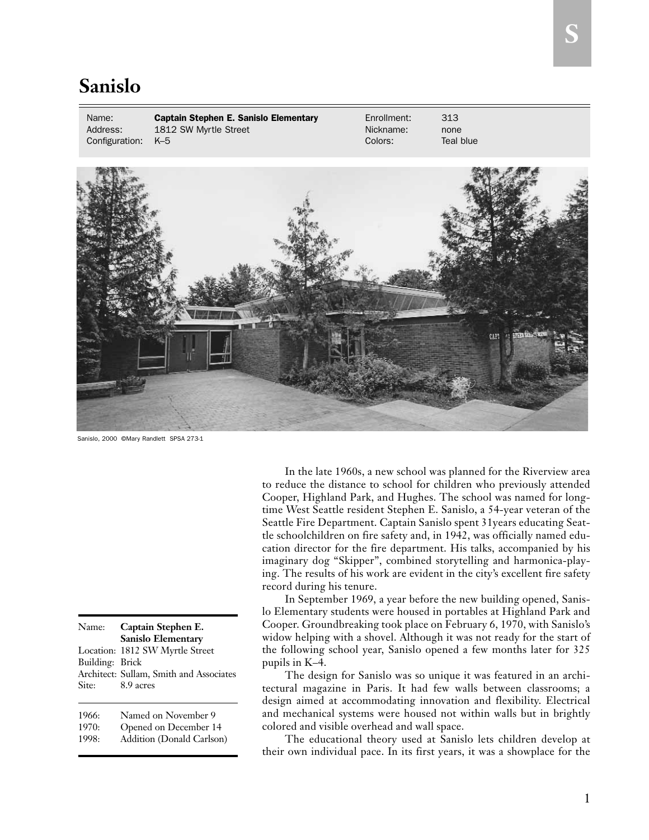## **Sanislo**

Name: Captain Stephen E. Sanislo Elementary Enrollment: 313 Address: 1812 SW Myrtle Street Nickname: none Configuration: K–5 Configuration: K–5 Colors: Teal blue

Sanislo, 2000 ©Mary Randlett SPSA 273-1

Name: **Captain Stephen E. Sanislo Elementary**  Location: 1812 SW Myrtle Street Building: Brick Architect: Sullam, Smith and Associates Site: 8.9 acres

| 1966: | Named on November 9   |
|-------|-----------------------|
| 1970: | Opened on December 14 |

1998: Addition (Donald Carlson)

In the late 1960s, a new school was planned for the Riverview area to reduce the distance to school for children who previously attended Cooper, Highland Park, and Hughes. The school was named for longtime West Seattle resident Stephen E. Sanislo, a 54-year veteran of the Seattle Fire Department. Captain Sanislo spent 31years educating Seattle schoolchildren on fire safety and, in 1942, was officially named education director for the fire department. His talks, accompanied by his imaginary dog "Skipper", combined storytelling and harmonica-playing. The results of his work are evident in the city's excellent fire safety record during his tenure.

In September 1969, a year before the new building opened, Sanislo Elementary students were housed in portables at Highland Park and Cooper. Groundbreaking took place on February 6, 1970, with Sanislo's widow helping with a shovel. Although it was not ready for the start of the following school year, Sanislo opened a few months later for 325 pupils in K–4.

The design for Sanislo was so unique it was featured in an architectural magazine in Paris. It had few walls between classrooms; a design aimed at accommodating innovation and flexibility. Electrical and mechanical systems were housed not within walls but in brightly colored and visible overhead and wall space.

The educational theory used at Sanislo lets children develop at their own individual pace. In its first years, it was a showplace for the